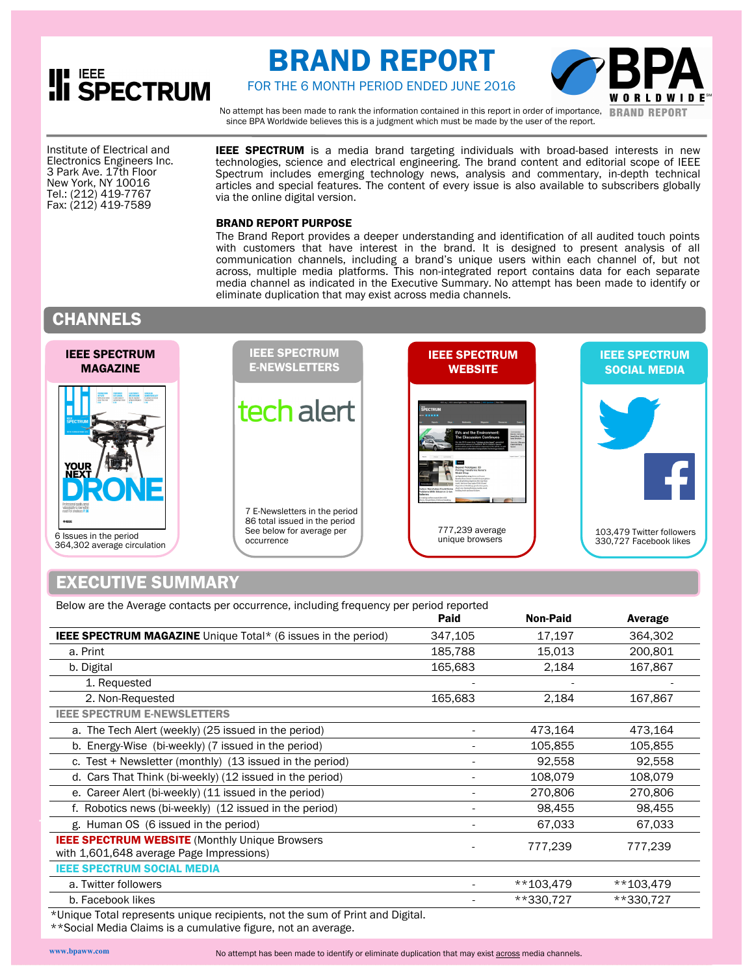# **III SPECTRUM**

## BRAND REPORT



FOR THE 6 MONTH PERIOD ENDED JUNE 2016

No attempt has been made to rank the information contained in this report in order of importance, **BRAND REPORT** since BPA Worldwide believes this is a judgment which must be made by the user of the report.

 3 Park Ave. 17th Floor Institute of Electrical and Electronics Engineers Inc. New York, NY 10016 Tel.: (212) 419-7767 Fax: (212) 419-7589

**IEEE SPECTRUM** is a media brand targeting individuals with broad-based interests in new technologies, science and electrical engineering. The brand content and editorial scope of IEEE Spectrum includes emerging technology news, analysis and commentary, in-depth technical articles and special features. The content of every issue is also available to subscribers globally via the online digital version.

### BRAND REPORT PURPOSE

The Brand Report provides a deeper understanding and identification of all audited touch points with customers that have interest in the brand. It is designed to present analysis of all communication channels, including a brand's unique users within each channel of, but not across, multiple media platforms. This non-integrated report contains data for each separate media channel as indicated in the Executive Summary. No attempt has been made to identify or eliminate duplication that may exist across media channels.

### **CHANNELS**



### EXECUTIVE SUMMARY

Below are the Average contacts per occurrence, including frequency per period reported

|                                                                                                    | Paid    | <b>Non-Paid</b> | Average     |
|----------------------------------------------------------------------------------------------------|---------|-----------------|-------------|
| <b>IEEE SPECTRUM MAGAZINE</b> Unique Total* (6 issues in the period)                               | 347,105 | 17,197          | 364,302     |
| a. Print                                                                                           | 185,788 | 15,013          | 200,801     |
| b. Digital                                                                                         | 165,683 | 2,184           | 167,867     |
| 1. Requested                                                                                       |         |                 |             |
| 2. Non-Requested                                                                                   | 165,683 | 2,184           | 167,867     |
| <b>IEEE SPECTRUM E-NEWSLETTERS</b>                                                                 |         |                 |             |
| a. The Tech Alert (weekly) (25 issued in the period)                                               |         | 473,164         | 473,164     |
| b. Energy-Wise (bi-weekly) (7 issued in the period)                                                |         | 105,855         | 105,855     |
| c. Test + Newsletter (monthly) (13 issued in the period)                                           |         | 92,558          | 92,558      |
| d. Cars That Think (bi-weekly) (12 issued in the period)                                           |         | 108,079         | 108,079     |
| e. Career Alert (bi-weekly) (11 issued in the period)                                              |         | 270,806         | 270,806     |
| f. Robotics news (bi-weekly) (12 issued in the period)                                             |         | 98,455          | 98,455      |
| g. Human OS (6 issued in the period)                                                               |         | 67,033          | 67,033      |
| <b>IEEE SPECTRUM WEBSITE (Monthly Unique Browsers)</b><br>with 1,601,648 average Page Impressions) |         | 777,239         | 777,239     |
| <b>IEEE SPECTRUM SOCIAL MEDIA</b>                                                                  |         |                 |             |
| a. Twitter followers                                                                               |         | $**103,479$     | $**103,479$ |
| b. Facebook likes                                                                                  |         | **330,727       | **330,727   |
| the country of the components that include the part of the country of Direct and District          |         |                 |             |

Unique Total represents unique recipients, not the sum of Print and Digital.

\*\*Social Media Claims is a cumulative figure, not an average.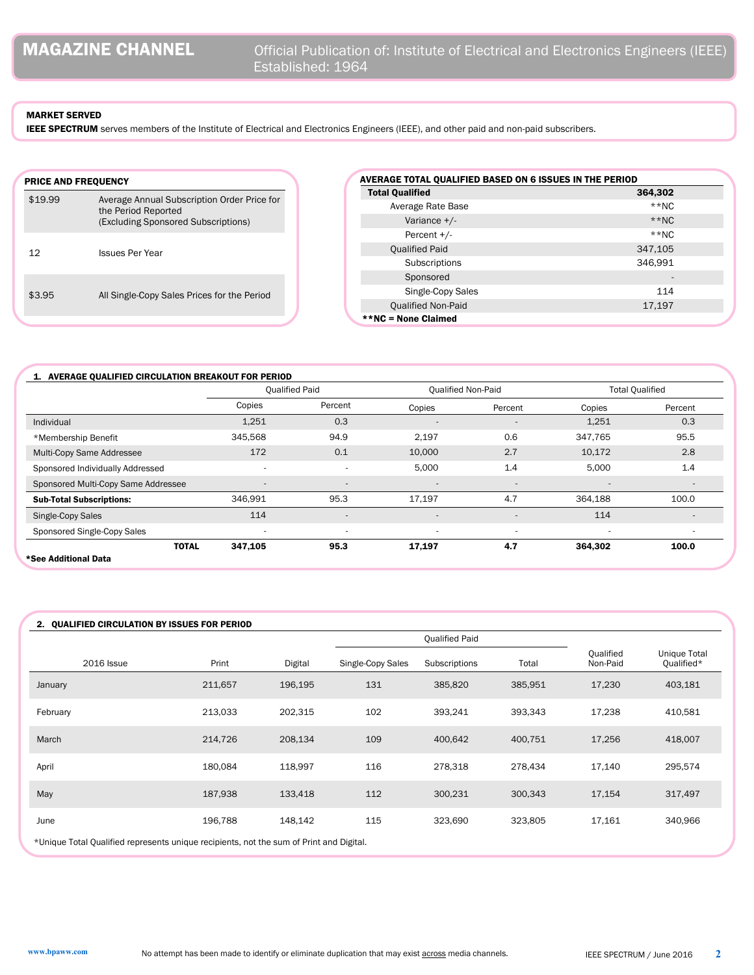### MARKET SERVED

IEEE SPECTRUM serves members of the Institute of Electrical and Electronics Engineers (IEEE), and other paid and non-paid subscribers.

| <b>PRICE AND FREQUENCY</b> |                                                                                                           |
|----------------------------|-----------------------------------------------------------------------------------------------------------|
| \$19.99                    | Average Annual Subscription Order Price for<br>the Period Reported<br>(Excluding Sponsored Subscriptions) |
| 12                         | <b>Issues Per Year</b>                                                                                    |
| \$3.95                     | All Single-Copy Sales Prices for the Period                                                               |

| AVERAGE TOTAL QUALIFIED BASED ON 6 ISSUES IN THE PERIOD |                              |
|---------------------------------------------------------|------------------------------|
| <b>Total Qualified</b>                                  | 364,302                      |
| Average Rate Base                                       | $**NC$                       |
| Variance +/-                                            | $**NC$                       |
| Percent $+/-$                                           | $**NC$                       |
| <b>Qualified Paid</b>                                   | 347,105                      |
| Subscriptions                                           | 346,991                      |
| Sponsored                                               | $\qquad \qquad \blacksquare$ |
| Single-Copy Sales                                       | 114                          |
| <b>Qualified Non-Paid</b>                               | 17,197                       |
| **NC = None Claimed                                     |                              |

|                                     |                          | <b>Oualified Paid</b>    |                          | <b>Qualified Non-Paid</b> | <b>Total Qualified</b>   |                |  |
|-------------------------------------|--------------------------|--------------------------|--------------------------|---------------------------|--------------------------|----------------|--|
|                                     | Copies                   | Percent                  | Copies                   | Percent                   | Copies                   | Percent        |  |
| Individual                          | 1,251                    | 0.3                      | $\overline{\phantom{a}}$ | $\overline{\phantom{a}}$  | 1,251                    | 0.3            |  |
| *Membership Benefit                 | 345,568                  | 94.9                     | 2,197                    | 0.6                       | 347,765                  | 95.5           |  |
| Multi-Copy Same Addressee           | 172                      | 0.1                      | 10,000                   | 2.7                       | 10,172                   | 2.8            |  |
| Sponsored Individually Addressed    |                          | ٠                        | 5,000                    | 1.4                       | 5,000                    | 1.4            |  |
| Sponsored Multi-Copy Same Addressee | $\overline{\phantom{a}}$ | $\overline{\phantom{a}}$ | $\sim$                   | ٠                         | ٠                        |                |  |
| <b>Sub-Total Subscriptions:</b>     | 346,991                  | 95.3                     | 17,197                   | 4.7                       | 364.188                  | 100.0          |  |
| Single-Copy Sales                   | 114                      | $\overline{\phantom{a}}$ | $\overline{a}$           |                           | 114                      | $\overline{a}$ |  |
| Sponsored Single-Copy Sales         | $\overline{\phantom{a}}$ | ٠                        |                          | ٠                         | $\overline{\phantom{a}}$ |                |  |
| <b>TOTAL</b>                        | 347,105                  | 95.3                     | 17,197                   | 4.7                       | 364,302                  | 100.0          |  |

### 2. QUALIFIED CIRCULATION BY ISSUES FOR PERIOD

|                                                                                         |         |         |                   | <b>Qualified Paid</b> |         |                       |                                   |
|-----------------------------------------------------------------------------------------|---------|---------|-------------------|-----------------------|---------|-----------------------|-----------------------------------|
| <b>2016 Issue</b>                                                                       | Print   | Digital | Single-Copy Sales | Subscriptions         | Total   | Qualified<br>Non-Paid | <b>Unique Total</b><br>Qualified* |
| January                                                                                 | 211,657 | 196,195 | 131               | 385,820               | 385,951 | 17,230                | 403,181                           |
| February                                                                                | 213,033 | 202,315 | 102               | 393,241               | 393,343 | 17,238                | 410,581                           |
| March                                                                                   | 214,726 | 208,134 | 109               | 400,642               | 400,751 | 17,256                | 418,007                           |
| April                                                                                   | 180,084 | 118,997 | 116               | 278,318               | 278,434 | 17,140                | 295,574                           |
| May                                                                                     | 187,938 | 133,418 | 112               | 300,231               | 300,343 | 17,154                | 317,497                           |
| June                                                                                    | 196,788 | 148,142 | 115               | 323,690               | 323,805 | 17,161                | 340,966                           |
| *Unique Total Qualified represents unique recipients, not the sum of Print and Digital. |         |         |                   |                       |         |                       |                                   |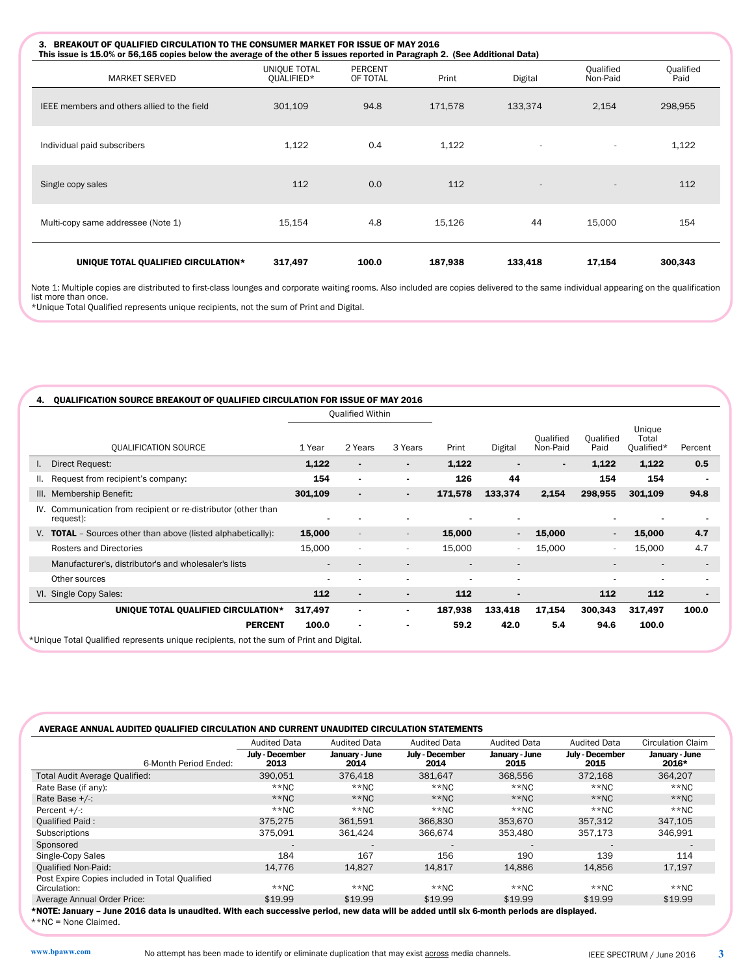| 3. BREAKOUT OF QUALIFIED CIRCULATION TO THE CONSUMER MARKET FOR ISSUE OF MAY 2016<br>This issue is 15.0% or 56,165 copies below the average of the other 5 issues reported in Paragraph 2. (See Additional Data) |                            |                            |         |                          |                       |                   |
|------------------------------------------------------------------------------------------------------------------------------------------------------------------------------------------------------------------|----------------------------|----------------------------|---------|--------------------------|-----------------------|-------------------|
| <b>MARKET SERVED</b>                                                                                                                                                                                             | UNIQUE TOTAL<br>OUALIFIED* | <b>PERCENT</b><br>OF TOTAL | Print   | Digital                  | Qualified<br>Non-Paid | Qualified<br>Paid |
| IEEE members and others allied to the field                                                                                                                                                                      | 301,109                    | 94.8                       | 171,578 | 133,374                  | 2,154                 | 298,955           |
| Individual paid subscribers                                                                                                                                                                                      | 1,122                      | 0.4                        | 1,122   |                          |                       | 1,122             |
| Single copy sales                                                                                                                                                                                                | 112                        | 0.0                        | 112     | $\overline{\phantom{a}}$ | $\overline{a}$        | 112               |
| Multi-copy same addressee (Note 1)                                                                                                                                                                               | 15,154                     | 4.8                        | 15,126  | 44                       | 15,000                | 154               |
| UNIQUE TOTAL QUALIFIED CIRCULATION*                                                                                                                                                                              | 317,497                    | 100.0                      | 187,938 | 133,418                  | 17,154                | 300,343           |

Note 1: Multiple copies are distributed to first-class lounges and corporate waiting rooms. Also included are copies delivered to the same individual appearing on the qualification list more than once. \*Unique Total Qualified represents unique recipients, not the sum of Print and Digital.

| 1 Year                   | 2 Years                                                                                                                 | 3 Years                  | Print                                                                                                          | Digital                  | Qualified<br>Non-Paid | Qualified<br>Paid | Unique<br>Total<br>Qualified* | Percent                  |
|--------------------------|-------------------------------------------------------------------------------------------------------------------------|--------------------------|----------------------------------------------------------------------------------------------------------------|--------------------------|-----------------------|-------------------|-------------------------------|--------------------------|
| 1,122                    |                                                                                                                         |                          | 1,122                                                                                                          |                          | $\blacksquare$        | 1,122             | 1,122                         | 0.5                      |
| 154                      | $\blacksquare$                                                                                                          | ۰.                       | 126                                                                                                            | 44                       |                       | 154               | 154                           |                          |
| 301,109                  |                                                                                                                         |                          | 171,578                                                                                                        | 133,374                  | 2,154                 | 298,955           | 301,109                       | 94.8                     |
| $\overline{\phantom{0}}$ |                                                                                                                         |                          |                                                                                                                | -                        |                       |                   |                               |                          |
| 15,000                   | $\overline{\phantom{a}}$                                                                                                | $\overline{\phantom{a}}$ | 15,000                                                                                                         | $\blacksquare$           | 15,000                | $\blacksquare$    | 15,000                        | 4.7                      |
| 15,000                   |                                                                                                                         | ٠                        | 15,000                                                                                                         | ٠                        | 15,000                | ۰                 | 15,000                        | 4.7                      |
| $\overline{\phantom{a}}$ |                                                                                                                         |                          |                                                                                                                | $\overline{\phantom{a}}$ |                       | $\overline{a}$    | $\overline{\phantom{a}}$      | $\overline{\phantom{a}}$ |
| $\overline{\phantom{a}}$ |                                                                                                                         |                          |                                                                                                                | $\overline{\phantom{a}}$ |                       | ٠                 | $\overline{\phantom{a}}$      |                          |
| 112                      |                                                                                                                         |                          | 112                                                                                                            |                          |                       | 112               | 112                           | $\blacksquare$           |
| 317,497                  |                                                                                                                         |                          | 187,938                                                                                                        | 133,418                  | 17,154                | 300,343           | 317,497                       | 100.0                    |
| 100.0                    |                                                                                                                         |                          | 59.2                                                                                                           | 42.0                     | 5.4                   | 94.6              | 100.0                         |                          |
|                          | IV. Communication from recipient or re-distributor (other than<br>UNIQUE TOTAL QUALIFIED CIRCULATION*<br><b>PERCENT</b> |                          | <b>QUALIFICATION SOURCE BREAKOUT OF QUALIFIED CIRCULATION FOR ISSUE OF MAY 2016</b><br><b>Qualified Within</b> |                          |                       |                   |                               |                          |

\*Unique Total Qualified represents unique recipients, not the sum of Print and Digital.

|                                                | Audited Data            | <b>Audited Data</b>    | <b>Audited Data</b>     | <b>Audited Data</b>    | <b>Audited Data</b>     | Circulation Claim       |
|------------------------------------------------|-------------------------|------------------------|-------------------------|------------------------|-------------------------|-------------------------|
| 6-Month Period Ended:                          | July - December<br>2013 | January - June<br>2014 | July - December<br>2014 | January - June<br>2015 | July - December<br>2015 | January - June<br>2016* |
| Total Audit Average Qualified:                 | 390,051                 | 376,418                | 381,647                 | 368,556                | 372,168                 | 364,207                 |
| Rate Base (if any):                            | $**NC$                  | $**NC$                 | $*$ NC                  | $**NC$                 | $**NC$                  | $**NC$                  |
| Rate Base $+/$ :                               | $**NC$                  | $*$ NC                 | $*$ NC                  | $*$ NC                 | $**NC$                  | $**NC$                  |
| Percent $+/-$ :                                | $**NC$                  | $*$ NC                 | $*$ NC                  | $**NC$                 | **NC                    | $**NC$                  |
| <b>Qualified Paid:</b>                         | 375.275                 | 361.591                | 366,830                 | 353,670                | 357.312                 | 347,105                 |
| Subscriptions                                  | 375.091                 | 361.424                | 366.674                 | 353.480                | 357.173                 | 346,991                 |
| Sponsored                                      |                         |                        |                         |                        |                         |                         |
| Single-Copy Sales                              | 184                     | 167                    | 156                     | 190                    | 139                     | 114                     |
| <b>Oualified Non-Paid:</b>                     | 14.776                  | 14.827                 | 14.817                  | 14.886                 | 14.856                  | 17,197                  |
| Post Expire Copies included in Total Qualified |                         |                        |                         |                        |                         |                         |
| Circulation:                                   | $**NC$                  | $**NC$                 | $***NC$                 | $**NC$                 | $**NC$                  | $***NC$                 |
| Average Annual Order Price:                    | \$19.99                 | \$19.99                | \$19.99                 | \$19.99                | \$19.99                 | \$19.99                 |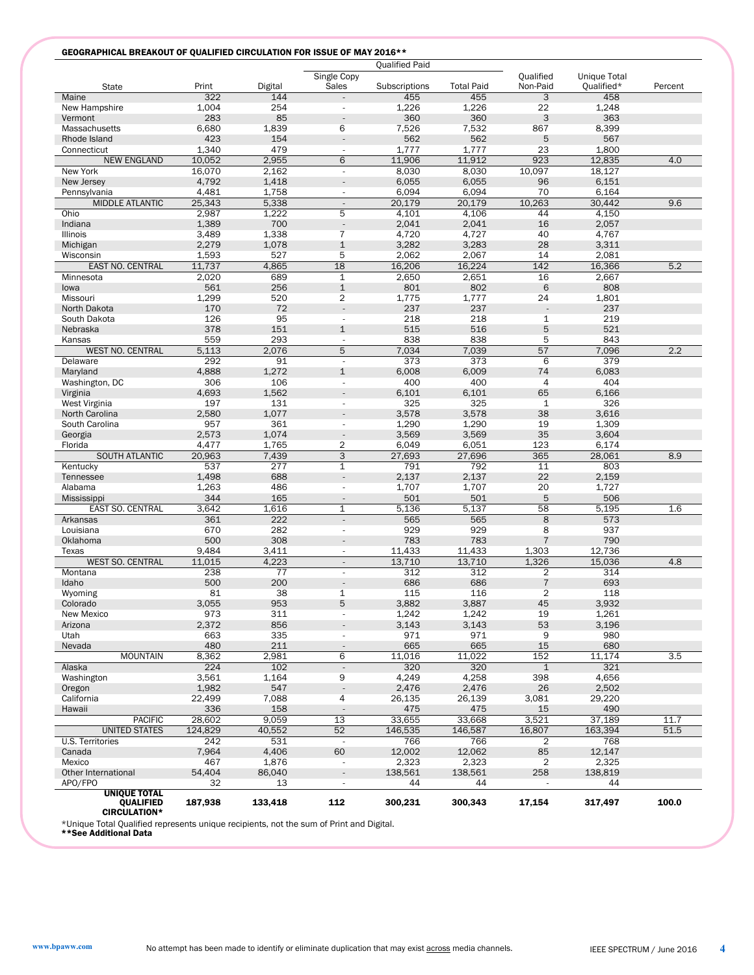### GEOGRAPHICAL BREAKOUT OF QUALIFIED CIRCULATION FOR ISSUE OF MAY 2016\*\*

|                                                                |                 |              |                               | <b>Qualified Paid</b> |                   |                                  |                 |         |
|----------------------------------------------------------------|-----------------|--------------|-------------------------------|-----------------------|-------------------|----------------------------------|-----------------|---------|
|                                                                |                 |              | Single Copy                   |                       |                   | Qualified                        | Unique Total    |         |
| <b>State</b>                                                   | Print           | Digital      | Sales                         | Subscriptions         | <b>Total Paid</b> | Non-Paid                         | Qualified*      | Percent |
| Maine                                                          | 322             | 144          |                               | 455                   | 455               | 3                                | 458             |         |
| New Hampshire                                                  | 1,004<br>283    | 254<br>85    |                               | 1,226<br>360          | 1,226<br>360      | 22<br>3                          | 1,248<br>363    |         |
| Vermont<br>Massachusetts                                       | 6,680           | 1,839        | 6                             | 7,526                 | 7,532             | 867                              | 8,399           |         |
| Rhode Island                                                   | 423             | 154          | $\overline{\phantom{a}}$      | 562                   | 562               | 5                                | 567             |         |
| Connecticut                                                    | 1,340           | 479          | $\overline{\phantom{a}}$      | 1.777                 | 1,777             | 23                               | 1,800           |         |
| <b>NEW ENGLAND</b>                                             | 10,052          | 2,955        | 6                             | 11,906                | 11,912            | 923                              | 12,835          | 4.0     |
| New York                                                       | 16,070          | 2,162        | $\overline{\phantom{a}}$      | 8,030                 | 8,030             | 10,097                           | 18,127          |         |
| New Jersey                                                     | 4,792           | 1,418        |                               | 6,055                 | 6,055             | 96                               | 6,151           |         |
| Pennsylvania                                                   | 4,481           | 1,758        | $\overline{\phantom{a}}$      | 6,094                 | 6,094             | 70                               | 6,164           |         |
| <b>MIDDLE ATLANTIC</b>                                         | 25,343          | 5,338        | $\overline{\phantom{a}}$      | 20,179                | 20,179            | 10,263                           | 30,442          | 9.6     |
| Ohio                                                           | 2,987           | 1,222        | 5                             | 4,101                 | 4,106             | 44                               | 4,150           |         |
| Indiana<br>Illinois                                            | 1,389<br>3,489  | 700<br>1,338 | $\overline{7}$                | 2,041<br>4,720        | 2,041<br>4,727    | 16<br>40                         | 2,057<br>4,767  |         |
| Michigan                                                       | 2,279           | 1,078        | $\mathbf 1$                   | 3,282                 | 3,283             | 28                               | 3,311           |         |
| Wisconsin                                                      | 1,593           | 527          | 5                             | 2,062                 | 2,067             | 14                               | 2,081           |         |
| EAST NO. CENTRAL                                               | 11,737          | 4,865        | 18                            | 16,206                | 16,224            | 142                              | 16,366          | 5.2     |
| Minnesota                                                      | 2,020           | 689          | $\mathbf{1}$                  | 2,650                 | 2,651             | 16                               | 2,667           |         |
| lowa                                                           | 561             | 256          | $\mathbf{1}$                  | 801                   | 802               | 6                                | 808             |         |
| Missouri                                                       | 1,299           | 520          | $\overline{2}$                | 1,775                 | 1,777             | 24                               | 1,801           |         |
| North Dakota                                                   | 170             | 72           | $\overline{\phantom{a}}$      | 237                   | 237               |                                  | 237             |         |
| South Dakota                                                   | 126             | 95           | $\overline{\phantom{a}}$      | 218                   | 218               | 1                                | 219             |         |
| Nebraska                                                       | 378             | 151          | $\mathbf{1}$                  | 515                   | 516               | 5                                | 521             |         |
| Kansas<br><b>WEST NO. CENTRAL</b>                              | 559<br>5,113    | 293<br>2,076 | $\overline{\phantom{a}}$<br>5 | 838<br>7,034          | 838<br>7,039      | 5<br>57                          | 843<br>7,096    | 2.2     |
| Delaware                                                       | 292             | 91           | $\blacksquare$                | 373                   | 373               | 6                                | 379             |         |
| Maryland                                                       | 4,888           | 1,272        | $\mathbf 1$                   | 6,008                 | 6,009             | 74                               | 6,083           |         |
| Washington, DC                                                 | 306             | 106          | $\overline{\phantom{a}}$      | 400                   | 400               | $\overline{4}$                   | 404             |         |
| Virginia                                                       | 4,693           | 1,562        |                               | 6,101                 | 6,101             | 65                               | 6,166           |         |
| West Virginia                                                  | 197             | 131          | $\overline{\phantom{a}}$      | 325                   | 325               | $\mathbf{1}$                     | 326             |         |
| North Carolina                                                 | 2,580           | 1,077        |                               | 3,578                 | 3,578             | 38                               | 3,616           |         |
| South Carolina                                                 | 957             | 361          | $\overline{\phantom{a}}$      | 1,290                 | 1,290             | 19                               | 1,309           |         |
| Georgia                                                        | 2,573           | 1,074        | $\overline{a}$                | 3,569                 | 3,569             | 35                               | 3,604           |         |
| Florida                                                        | 4,477           | 1,765        | 2                             | 6,049                 | 6,051             | 123                              | 6,174           |         |
| <b>SOUTH ATLANTIC</b>                                          | 20,963          | 7,439        | 3                             | 27,693                | 27,696            | 365                              | 28,061          | 8.9     |
| Kentucky<br>Tennessee                                          | 537<br>1,498    | 277<br>688   | 1<br>$\overline{a}$           | 791<br>2,137          | 792<br>2,137      | 11<br>22                         | 803<br>2,159    |         |
| Alabama                                                        | 1,263           | 486          | $\overline{\phantom{a}}$      | 1,707                 | 1,707             | 20                               | 1,727           |         |
| Mississippi                                                    | 344             | 165          | $\overline{\phantom{a}}$      | 501                   | 501               | 5                                | 506             |         |
| EAST SO. CENTRAL                                               | 3,642           | 1,616        | 1                             | 5,136                 | 5,137             | 58                               | 5,195           | 1.6     |
| Arkansas                                                       | 361             | 222          | $\blacksquare$                | 565                   | 565               | 8                                | 573             |         |
| Louisiana                                                      | 670             | 282          | $\overline{\phantom{a}}$      | 929                   | 929               | 8                                | 937             |         |
| Oklahoma                                                       | 500             | 308          |                               | 783                   | 783               | 7                                | 790             |         |
| Texas                                                          | 9,484           | 3,411        | $\overline{\phantom{a}}$      | 11,433                | 11,433            | 1,303                            | 12,736          |         |
| <b>WEST SO. CENTRAL</b>                                        | 11,015          | 4,223        | $\overline{\phantom{a}}$      | 13,710                | 13,710            | 1,326                            | 15,036          | 4.8     |
| Montana                                                        | 238             | 77           | $\overline{\phantom{a}}$      | 312                   | 312               | $\overline{2}$                   | 314             |         |
| Idaho<br>Wyoming                                               | 500<br>81       | 200<br>38    | 1                             | 686<br>115            | 686<br>116        | $\overline{7}$<br>$\overline{2}$ | 693<br>118      |         |
| Colorado                                                       | 3,055           | 953          | 5                             | 3.882                 | 3,887             | 45                               | 3,932           |         |
| New Mexico                                                     | 973             | 311          |                               | 1,242                 | 1,242             | 19                               | 1,261           |         |
| Arizona                                                        | 2,372           | 856          |                               | 3,143                 | 3,143             | 53                               | 3,196           |         |
| Utah                                                           | 663             | 335          |                               | 971                   | 971               | 9                                | 980             |         |
| Nevada                                                         | 480             | 211          | $\overline{\phantom{a}}$      | 665                   | 665               | 15                               | 680             |         |
| <b>MOUNTAIN</b>                                                | 8,362           | 2,981        | 6                             | 11,016                | 11,022            | 152                              | 11,174          | 3.5     |
| Alaska                                                         | 224             | 102          | $\Box$                        | 320                   | 320               | $\mathbf{1}$                     | 321             |         |
| Washington                                                     | 3,561           | 1,164        | 9                             | 4,249                 | 4,258             | 398                              | 4,656           |         |
| Oregon<br>California                                           | 1,982<br>22,499 | 547<br>7,088 | $\frac{1}{2}$<br>4            | 2.476<br>26,135       | 2,476<br>26,139   | 26<br>3,081                      | 2,502<br>29,220 |         |
| Hawaii                                                         | 336             | 158          | $\overline{\phantom{a}}$      | 475                   | 475               | 15                               | 490             |         |
| <b>PACIFIC</b>                                                 | 28,602          | 9,059        | 13                            | 33,655                | 33,668            | 3,521                            | 37,189          | 11.7    |
| <b>UNITED STATES</b>                                           | 124,829         | 40,552       | 52                            | 146,535               | 146,587           | 16,807                           | 163,394         | 51.5    |
| U.S. Territories                                               | 242             | 531          | $\sim$                        | 766                   | 766               | 2                                | 768             |         |
| Canada                                                         | 7,964           | 4,406        | 60                            | 12,002                | 12,062            | 85                               | 12,147          |         |
| Mexico                                                         | 467             | 1,876        | ÷,                            | 2,323                 | 2,323             | $\overline{c}$                   | 2,325           |         |
| Other International                                            | 54,404          | 86,040       | $\overline{\phantom{a}}$      | 138,561               | 138,561           | 258                              | 138,819         |         |
| APO/FPO                                                        | 32              | 13           |                               | 44                    | 44                |                                  | 44              |         |
| <b>UNIQUE TOTAL</b><br><b>QUALIFIED</b><br><b>CIRCULATION*</b> | 187,938         | 133,418      | 112                           | 300,231               | 300,343           | 17,154                           | 317,497         | 100.0   |

\*Unique Total Qualified represents unique recipients, not the sum of Print and Digital. \*\*See Additional Data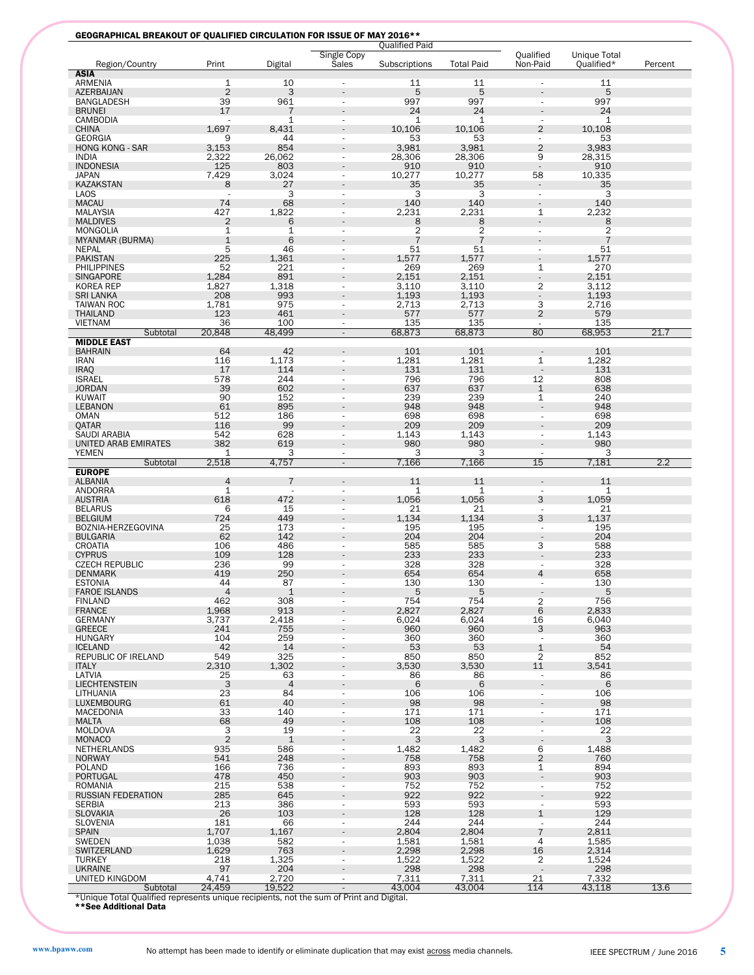|  |  |  |  | <b>GEOGRAPHICAL BREAKOUT OF QUALIFIED CIRCULATION FOR ISSUE OF MAY 2016**</b> |  |  |
|--|--|--|--|-------------------------------------------------------------------------------|--|--|
|--|--|--|--|-------------------------------------------------------------------------------|--|--|

|                                                                                         |                      |                      |                             | <b>Qualified Paid</b> |                   |                                            |                            |         |
|-----------------------------------------------------------------------------------------|----------------------|----------------------|-----------------------------|-----------------------|-------------------|--------------------------------------------|----------------------------|---------|
|                                                                                         | Print                |                      | Single Copy<br><b>Sales</b> |                       | <b>Total Paid</b> | Qualified<br>Non-Paid                      | Unique Total<br>Qualified* |         |
| Region/Country<br><b>ASIA</b>                                                           |                      | Digital              |                             | Subscriptions         |                   |                                            |                            | Percent |
| ARMENIA                                                                                 | $\mathbf{1}$         | 10                   |                             | 11                    | 11                |                                            | 11                         |         |
| <b>AZERBAIJAN</b>                                                                       | $\overline{2}$       | 3                    |                             | 5                     | 5                 |                                            | 5                          |         |
| BANGLADESH                                                                              | 39                   | 961                  |                             | 997                   | 997               |                                            | 997                        |         |
| <b>BRUNEI</b>                                                                           | 17                   | $\overline{7}$       |                             | 24                    | 24                |                                            | 24                         |         |
| CAMBODIA                                                                                |                      | $\mathbf{1}$         |                             | 1                     | 1                 |                                            | 1                          |         |
| <b>CHINA</b>                                                                            | 1.697                | 8,431                |                             | 10,106                | 10,106            | $\overline{2}$                             | 10,108                     |         |
| <b>GEORGIA</b>                                                                          | 9                    | 44                   |                             | 53                    | 53                |                                            | 53                         |         |
| <b>HONG KONG - SAR</b>                                                                  | 3,153                | 854                  |                             | 3,981                 | 3,981             | $\overline{2}$                             | 3,983                      |         |
| <b>INDIA</b>                                                                            | 2,322                | 26,062               |                             | 28,306                | 28,306            | 9                                          | 28,315                     |         |
| <b>INDONESIA</b><br><b>JAPAN</b>                                                        | 125<br>7,429         | 803<br>3,024         |                             | 910                   | 910               | $\overline{\phantom{a}}$<br>58             | 910<br>10.335              |         |
| <b>KAZAKSTAN</b>                                                                        | 8                    | 27                   |                             | 10,277<br>35          | 10,277<br>35      |                                            | 35                         |         |
| <b>LAOS</b>                                                                             |                      | 3                    |                             | 3                     | 3                 |                                            | 3                          |         |
| <b>MACAU</b>                                                                            | 74                   | 68                   |                             | 140                   | 140               |                                            | 140                        |         |
| <b>MALAYSIA</b>                                                                         | 427                  | 1,822                |                             | 2,231                 | 2,231             | 1                                          | 2,232                      |         |
| <b>MALDIVES</b>                                                                         | $\overline{2}$       | 6                    |                             | 8                     | 8                 |                                            | 8                          |         |
| <b>MONGOLIA</b>                                                                         | 1                    | $\mathbf{1}$         |                             | 2                     | 2                 | $\overline{\phantom{a}}$                   | $\overline{2}$             |         |
| MYANMAR (BURMA)                                                                         | $\mathbf{1}$         | 6                    |                             | $\overline{7}$        | $\overline{7}$    |                                            | $\overline{7}$             |         |
| NEPAL                                                                                   | 5                    | 46                   |                             | 51                    | 51                |                                            | 51                         |         |
| <b>PAKISTAN</b>                                                                         | 225                  | 1,361                |                             | 1,577                 | 1,577             |                                            | 1,577                      |         |
| <b>PHILIPPINES</b>                                                                      | 52                   | 221                  |                             | 269                   | 269               | 1                                          | 270                        |         |
| <b>SINGAPORE</b>                                                                        | 1,284                | 891                  |                             | 2,151                 | 2,151             |                                            | 2,151                      |         |
| <b>KOREA REP</b>                                                                        | 1,827                | 1,318                |                             | 3,110                 | 3,110             | 2                                          | 3,112                      |         |
| <b>SRI LANKA</b>                                                                        | 208                  | 993                  |                             | 1,193                 | 1,193             |                                            | 1,193                      |         |
| <b>TAIWAN ROC</b>                                                                       | 1,781                | 975                  |                             | 2,713                 | 2,713             | 3                                          | 2,716                      |         |
| <b>THAILAND</b><br><b>VIETNAM</b>                                                       | 123<br>36            | 461<br>100           |                             | 577<br>135            | 577<br>135        | $\overline{2}$<br>$\overline{\phantom{a}}$ | 579<br>135                 |         |
| Subtotal                                                                                | 20,848               | 48,499               | $\overline{\phantom{a}}$    | 68,873                | 68,873            | 80                                         | 68,953                     | 21.7    |
| <b>MIDDLE EAST</b>                                                                      |                      |                      |                             |                       |                   |                                            |                            |         |
| <b>BAHRAIN</b>                                                                          | 64                   | 42                   |                             | 101                   | 101               |                                            | 101                        |         |
| <b>IRAN</b>                                                                             | 116                  | 1,173                | $\sim$                      | 1,281                 | 1,281             | 1                                          | 1,282                      |         |
| <b>IRAQ</b>                                                                             | 17                   | 114                  |                             | 131                   | 131               |                                            | 131                        |         |
| <b>ISRAEL</b>                                                                           | 578                  | 244                  | $\sim$                      | 796                   | 796               | 12                                         | 808                        |         |
| <b>JORDAN</b>                                                                           | 39                   | 602                  |                             | 637                   | 637               | $\mathbf{1}$                               | 638                        |         |
| KUWAIT                                                                                  | 90                   | 152                  |                             | 239                   | 239               | $\mathbf{1}$                               | 240                        |         |
| <b>LEBANON</b>                                                                          | 61                   | 895                  |                             | 948                   | 948               |                                            | 948                        |         |
| <b>OMAN</b>                                                                             | 512                  | 186                  | $\sim$                      | 698                   | 698               | ٠                                          | 698                        |         |
| QATAR                                                                                   | 116                  | 99                   |                             | 209                   | 209               |                                            | 209                        |         |
| SAUDI ARABIA                                                                            | 542                  | 628                  | ٠                           | 1,143                 | 1,143             | $\sim$                                     | 1,143                      |         |
| UNITED ARAB EMIRATES                                                                    | 382<br>1             | 619<br>3             |                             | 980<br>3              | 980<br>3          |                                            | 980<br>3                   |         |
| YEMEN<br>Subtotal                                                                       | 2,518                | 4,757                | $\overline{\phantom{a}}$    | 7,166                 | 7,166             | 15                                         | 7,181                      | 2.2     |
| <b>EUROPE</b>                                                                           |                      |                      |                             |                       |                   |                                            |                            |         |
| <b>ALBANIA</b>                                                                          | $\overline{4}$       | 7                    |                             | 11                    | 11                |                                            | 11                         |         |
| ANDORRA                                                                                 | 1                    |                      |                             | 1                     | 1                 | $\sim$                                     | 1                          |         |
| <b>AUSTRIA</b>                                                                          | 618                  | 472                  |                             | 1,056                 | 1,056             | 3                                          | 1,059                      |         |
| <b>BELARUS</b>                                                                          | 6                    | 15                   |                             | 21                    | 21                | $\overline{\phantom{a}}$                   | 21                         |         |
| <b>BELGIUM</b>                                                                          | 724                  | 449                  |                             | 1,134                 | 1,134             | 3                                          | 1,137                      |         |
| BOZNIA-HERZEGOVINA                                                                      | 25                   | 173                  |                             | 195                   | 195               | ٠                                          | 195                        |         |
| <b>BULGARIA</b>                                                                         | 62                   | 142                  |                             | 204                   | 204               |                                            | 204                        |         |
| CROATIA                                                                                 | 106                  | 486                  |                             | 585                   | 585               | 3                                          | 588                        |         |
| <b>CYPRUS</b>                                                                           | 109                  | 128                  |                             | 233                   | 233               |                                            | 233                        |         |
| <b>CZECH REPUBLIC</b>                                                                   | 236                  | 99                   |                             | 328                   | 328               | $\sim$                                     | 328                        |         |
| <b>DENMARK</b>                                                                          | 419                  | 250                  |                             | 654                   | 654               | 4                                          | 658                        |         |
| <b>ESTONIA</b><br><b>FAROE ISLANDS</b>                                                  | 44<br>$\overline{4}$ | 87<br>$\mathbf 1$    |                             | 130<br>5              | 130<br>5          |                                            | 130<br>5                   |         |
| <b>FINLAND</b>                                                                          | 462                  | 308                  | $\sim$                      | 754                   | 754               | $\overline{2}$                             | 756                        |         |
| <b>FRANCE</b>                                                                           | 1,968                | 913                  |                             | 2,827                 | 2,827             | 6                                          | 2,833                      |         |
| GERMANY                                                                                 | 3,737                | 2,418                |                             | 6,024                 | 6,024             | 16                                         | 6,040                      |         |
| <b>GREECE</b>                                                                           | 241                  | 755                  |                             | 960                   | 960               | 3                                          | 963                        |         |
| <b>HUNGARY</b>                                                                          | 104                  | 259                  | $\sim$                      | 360                   | 360               | $\overline{\phantom{a}}$                   | 360                        |         |
| <b>ICELAND</b>                                                                          | 42                   | 14                   |                             | 53                    | 53                | $1\,$                                      | 54                         |         |
| REPUBLIC OF IRELAND                                                                     | 549                  | 325                  |                             | 850                   | 850               | 2                                          | 852                        |         |
| <b>ITALY</b>                                                                            | 2,310                | 1,302                |                             | 3,530                 | 3,530             | 11                                         | 3,541                      |         |
| LATVIA                                                                                  | $\frac{25}{3}$       | 63                   | $\sim$                      | 86                    | 86                | $\overline{\phantom{a}}$                   | 86                         |         |
| <b>LIECHTENSTEIN</b>                                                                    |                      | $\overline{4}$<br>84 |                             | 6                     | 6                 |                                            | 6                          |         |
| LITHUANIA<br><b>LUXEMBOURG</b>                                                          | 23<br>61             | 40                   | ä,                          | 106<br>98             | 106<br>98         | $\overline{\phantom{a}}$                   | 106<br>98                  |         |
| <b>MACEDONIA</b>                                                                        | 33                   | 140                  | $\sim$                      | 171                   | 171               | ٠                                          | 171                        |         |
| <b>MALTA</b>                                                                            | 68                   | 49                   |                             | 108                   | 108               |                                            | 108                        |         |
| <b>MOLDOVA</b>                                                                          | 3                    | 19                   |                             | 22                    | 22                | $\overline{\phantom{a}}$                   | 22                         |         |
| <b>MONACO</b>                                                                           | $\overline{2}$       | $\mathbf{1}$         |                             | 3                     | 3                 | $\overline{\phantom{a}}$                   | 3                          |         |
| NETHERLANDS                                                                             | 935                  | 586                  | $\overline{\phantom{a}}$    | 1,482                 | 1,482             | 6                                          | 1,488                      |         |
| <b>NORWAY</b>                                                                           | 541                  | 248                  |                             | 758                   | 758               | $\overline{2}$                             | 760                        |         |
| POLAND                                                                                  | 166                  | 736                  | $\overline{\phantom{0}}$    | 893                   | 893               | $\mathbf 1$                                | 894                        |         |
| PORTUGAL                                                                                | 478                  | 450                  |                             | 903                   | 903               | ÷,                                         | 903                        |         |
| ROMANIA                                                                                 | 215                  | 538                  | $\overline{\phantom{a}}$    | 752                   | 752               | $\blacksquare$                             | 752                        |         |
| <b>RUSSIAN FEDERATION</b>                                                               | 285                  | 645                  |                             | 922                   | 922               |                                            | 922                        |         |
| <b>SERBIA</b>                                                                           | 213                  | 386                  |                             | 593                   | 593               | $\overline{\phantom{a}}$                   | 593                        |         |
| <b>SLOVAKIA</b>                                                                         | 26                   | 103                  |                             | 128                   | 128               | $\mathbf 1$                                | 129                        |         |
| <b>SLOVENIA</b>                                                                         | 181                  | 66<br>1,167          | $\overline{\phantom{a}}$    | 244                   | 244<br>2,804      | $\overline{\phantom{a}}$<br>$\overline{7}$ | 244<br>2,811               |         |
| <b>SPAIN</b><br><b>SWEDEN</b>                                                           | 1,707<br>1,038       | 582                  | ÷,                          | 2,804<br>1,581        | 1,581             | 4                                          | 1,585                      |         |
| SWITZERLAND                                                                             | 1,629                | 763                  |                             | 2,298                 | 2,298             | 16                                         | 2,314                      |         |
| <b>TURKEY</b>                                                                           | 218                  | 1,325                | $\sim$                      | 1,522                 | 1,522             | 2                                          | 1,524                      |         |
| <b>UKRAINE</b>                                                                          | 97                   | 204                  |                             | 298                   | 298               | $\sim$                                     | 298                        |         |
| UNITED KINGDOM                                                                          | 4,741                | 2,720                |                             | 7,311                 | 7,311             | 21                                         | 7,332                      |         |
| Subtotal                                                                                | 24,459               | 19,522               |                             | 43,004                | 43,004            | 114                                        | 43,118                     | 13.6    |
| *Unique Total Qualified represents unique recipients, not the sum of Print and Digital. |                      |                      |                             |                       |                   |                                            |                            |         |
| **See Additional Data                                                                   |                      |                      |                             |                       |                   |                                            |                            |         |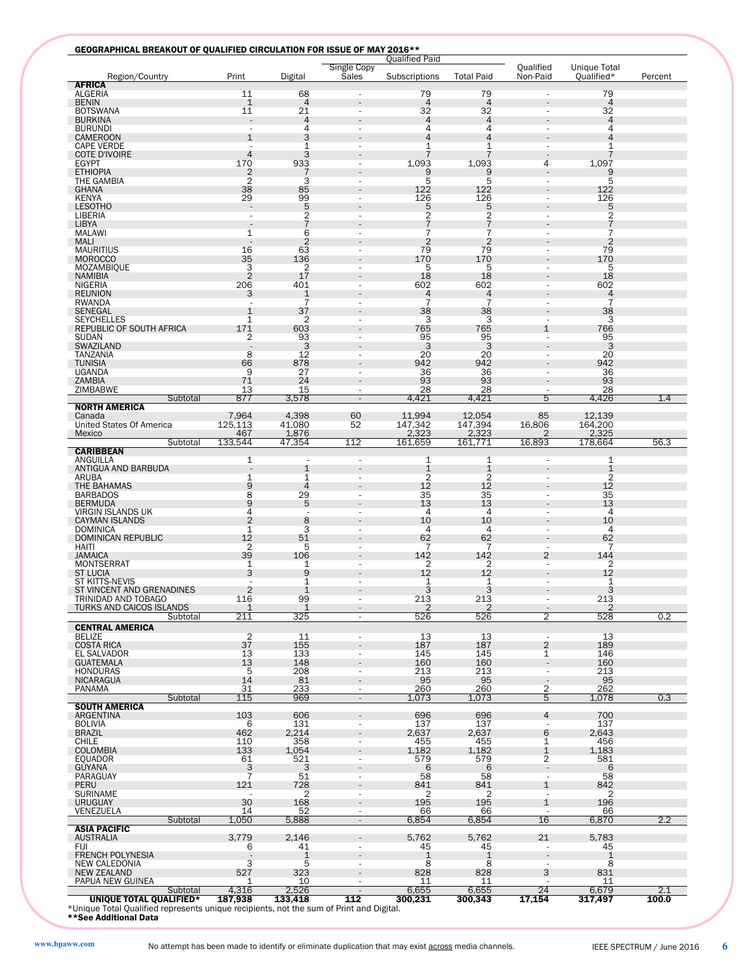| Region/Country<br><b>AFRICA</b>           | Print                    | Digital                       | Single Copy<br>Sales     | Subscriptions     | <b>Total Paid</b>     | Qualified<br>Non-Paid              | <b>Unique Total</b><br>Qualified* | Percent |
|-------------------------------------------|--------------------------|-------------------------------|--------------------------|-------------------|-----------------------|------------------------------------|-----------------------------------|---------|
| ALGERIA                                   | 11                       | 68                            |                          | 79                | 79                    |                                    | 79                                |         |
| <b>BENIN</b>                              | $\mathbf{1}$             | $\overline{4}$                |                          | $\overline{4}$    | 4                     |                                    | $\overline{4}$                    |         |
| BOTSWANA<br><b>BURKINA</b>                | 11                       | 21<br>$\overline{4}$          |                          | 32<br>4           | 32<br>4               |                                    | 32<br>$\overline{4}$              |         |
| <b>BURUNDI</b>                            | $\overline{\phantom{a}}$ | 4                             |                          | 4                 | 4                     |                                    | 4                                 |         |
| <b>CAMEROON</b>                           | $\mathbf{1}$             | 3                             |                          | 4                 | 4                     |                                    | 4                                 |         |
| <b>CAPE VERDE</b><br><b>COTE D'IVOIRE</b> | ٠<br>$\overline{4}$      | 1<br>3                        |                          | 1                 | 1<br>7                | ٠                                  | 1<br>7                            |         |
| <b>EGYPT</b>                              | 170                      | 933                           |                          | 1,093             | 1,093                 | 4                                  | 1,097                             |         |
| <b>ETHIOPIA</b>                           | $\overline{2}$           | 7                             |                          | 9                 | 9                     |                                    | 9                                 |         |
| THE GAMBIA<br><b>GHANA</b>                | 2<br>38                  | 3<br>85                       | $\sim$                   | 5<br>122          | 5<br>122              | $\sim$                             | 5<br>122                          |         |
| KENYA                                     | 29                       | 99                            |                          | 126               | 126                   | $\overline{a}$                     | 126                               |         |
| <b>LESOTHO</b>                            | $\overline{a}$           | 5                             |                          | 5                 | 5                     |                                    | 5                                 |         |
| LIBERIA                                   | $\overline{\phantom{a}}$ | $\frac{2}{7}$                 | ٠                        | 2<br>7            | $\frac{2}{7}$         | $\sim$                             | $\overline{c}$<br>$\overline{7}$  |         |
| LIBYA<br>MALAWI                           | $\mathbf{1}$             | 6                             |                          | 7                 | 7                     | ٠                                  | 7                                 |         |
| <b>MALI</b>                               |                          | $\overline{2}$                |                          | 2                 | $\overline{2}$        |                                    | $\overline{2}$                    |         |
| <b>MAURITIUS</b>                          | 16                       | 63                            | ٠                        | 79                | 79                    | $\sim$                             | 79                                |         |
| <b>MOROCCO</b><br>MOZAMBIQUE              | 35<br>3                  | 136<br>2                      |                          | 170<br>5          | 170<br>5              | $\overline{\phantom{a}}$           | 170<br>5                          |         |
| <b>NAMIBIA</b>                            | $\overline{2}$           | 17                            |                          | 18                | 18                    |                                    | 18                                |         |
| NIGERIA                                   | 206                      | 401                           |                          | 602               | 602                   |                                    | 602                               |         |
| <b>REUNION</b>                            | 3                        | $\mathbf{1}$                  |                          | 4                 | 4<br>$\overline{7}$   |                                    | $\overline{4}$<br>$\overline{7}$  |         |
| <b>RWANDA</b><br><b>SENEGAL</b>           | $\mathbf{1}$             | 7<br>37                       | ٠                        | 7<br>38           | 38                    | $\sim$                             | 38                                |         |
| <b>SEYCHELLES</b>                         | 1                        | 2                             |                          | 3                 | 3                     | $\overline{\phantom{a}}$           | 3                                 |         |
| <b>REPUBLIC OF SOUTH AFRICA</b>           | 171                      | 603                           |                          | 765               | 765                   | 1                                  | 766                               |         |
| SUDAN<br>SWAZILAND                        | $\overline{c}$           | 93<br>3                       |                          | 95<br>3           | 95<br>3               | $\overline{\phantom{a}}$           | 95<br>3                           |         |
| TANZANIA                                  | 8                        | 12                            |                          | 20                | 20                    |                                    | 20                                |         |
| <b>TUNISIA</b>                            | 66                       | 878                           |                          | 942               | 942                   |                                    | 942                               |         |
| <b>UGANDA</b>                             | 9                        | 27                            | ٠                        | 36                | 36                    | ÷,                                 | 36                                |         |
| ZAMBIA<br>ZIMBABWE                        | 71<br>13                 | 24<br>15                      | $\overline{\phantom{a}}$ | 93<br>28          | 93<br>28              | $\overline{\phantom{a}}$           | 93<br>28                          |         |
| Subtotal                                  | 877                      | 3,578                         | ÷                        | 4,421             | 4,421                 | 5                                  | 4,426                             | 1.4     |
| <b>NORTH AMERICA</b>                      |                          |                               |                          |                   |                       |                                    |                                   |         |
| Canada<br><b>United States Of America</b> | 7,964<br>125,113         | 4,398<br>41,080               | 60<br>52                 | 11,994<br>147,342 | 12,054<br>147,394     | 85<br>16,806                       | 12,139<br>164,200                 |         |
| Mexico                                    | 467                      | 1,876                         |                          | 2,323             | 2,323                 | 2                                  | 2,325                             |         |
| Subtotal                                  | 133,544                  | 47,354                        | 112                      | 161,659           | 161,771               | 16,893                             | 178,664                           | 56.3    |
| <b>CARIBBEAN</b>                          |                          |                               |                          |                   |                       |                                    |                                   |         |
| ANGUILLA<br>ANTIGUA AND BARBUDA           | 1                        | $\overline{\phantom{a}}$<br>1 | $\overline{\phantom{a}}$ | 1<br>$\mathbf 1$  | 1<br>1                | $\overline{\phantom{a}}$           | 1<br>1                            |         |
| ARUBA                                     | $\mathbf 1$              | $\mathbf{1}$                  | ٠                        | $\overline{c}$    | $\overline{c}$        | $\overline{\phantom{a}}$           | $\overline{c}$                    |         |
| THE BAHAMAS                               | 9                        | $\overline{4}$                |                          | 12                | 12                    |                                    | 12                                |         |
| <b>BARBADOS</b><br><b>BERMUDA</b>         | 8<br>9                   | 29<br>5                       |                          | 35<br>13          | 35<br>$\overline{13}$ |                                    | 35<br>13                          |         |
| VIRGIN ISLANDS UK                         | 4                        | ×,                            |                          | 4                 | 4                     | ÷,                                 | 4                                 |         |
| <b>CAYMAN ISLANDS</b>                     | $\overline{2}$           | 8                             |                          | 10                | 10                    |                                    | 10                                |         |
| <b>DOMINICA</b>                           | $\mathbf 1$<br>12        | 3                             | ٠                        | 4<br>62           | 4<br>62               | $\sim$                             | $\overline{4}$<br>62              |         |
| <b>DOMINICAN REPUBLIC</b><br>HAITI        | $\overline{2}$           | 51<br>5                       |                          |                   |                       |                                    |                                   |         |
| <b>JAMAICA</b>                            | 39                       | 106                           |                          | 142               | 142                   | 2                                  | 144                               |         |
| <b>MONTSERRAT</b>                         | 1                        | 1                             |                          | 2                 | 2                     | $\overline{\phantom{a}}$           | $\overline{2}$                    |         |
| <b>ST LUCIA</b><br>ST KITTS-NEVIS         | 3                        | 9<br>1                        |                          | 12<br>1           | 12<br>1               | $\overline{\phantom{a}}$           | 12<br>1                           |         |
| ST VINCENT AND GRENADINES                 | $\overline{2}$           | $\mathbf{1}$                  |                          | 3                 | 3                     |                                    | 3                                 |         |
| TRINIDAD AND TOBAGO                       | 116                      | 99                            |                          | 213               | 213                   |                                    | 213                               |         |
| <b>TURKS AND CAICOS ISLANDS</b>           | $\mathbf 1$              | $\mathbf{1}$                  | $\overline{\phantom{a}}$ | 2                 | $\overline{2}$        | $\overline{\phantom{a}}$           | $\overline{2}$                    |         |
| Subtotal                                  | 211                      | 325                           | ä,                       | 526               | 526                   | 2                                  | 528                               | 0.2     |
| <b>CENTRAL AMERICA</b><br>BELIZE          |                          | 11                            | $\overline{\phantom{a}}$ | 13                | 13                    | $\overline{\phantom{a}}$           | 13                                |         |
| <b>COSTA RICA</b>                         | $\frac{2}{37}$           | 155                           |                          | 187               | 187                   | $\overline{2}$                     | 189                               |         |
| EL SALVADOR                               | 13                       | 133                           | ٠                        | 145               | 145                   | 1                                  | 146                               |         |
| <b>GUATEMALA</b><br>HONDURAS              | 13<br>5                  | 148<br>208                    | $\overline{\phantom{a}}$ | 160<br>213        | 160<br>213            | $\overline{\phantom{a}}$<br>$\sim$ | 160<br>213                        |         |
| NICARAGUA                                 | 14                       | 81                            |                          | 95                | 95                    |                                    | 95                                |         |
| PANAMA                                    | 31                       | 233                           | $\overline{\phantom{a}}$ | 260               | 260                   | 2                                  | 262                               |         |
| Subtotal                                  | 115                      | 969                           | $\overline{\phantom{a}}$ | 1,073             | 1,073                 | 5                                  | 1,078                             | 0.3     |
| <b>SOUTH AMERICA</b><br>ARGENTINA         | 103                      | 606                           |                          | 696               | 696                   | 4                                  | 700                               |         |
| <b>BOLIVIA</b>                            | 6                        | 131                           | $\overline{\phantom{a}}$ | 137               | 137                   |                                    | 137                               |         |
| <b>BRAZIL</b>                             | 462                      | 2,214                         |                          | 2,637             | 2,637                 | 6                                  | 2,643                             |         |
| CHILE<br><b>COLOMBIA</b>                  | 110<br>133               | 358<br>1,054                  | $\overline{\phantom{a}}$ | 455<br>1,182      | 455<br>1,182          | 1<br>1                             | 456<br>1,183                      |         |
| EQUADOR                                   | 61                       | 521                           | $\overline{\phantom{a}}$ | 579               | 579                   | 2                                  | 581                               |         |
| <b>GUYANA</b>                             | $\frac{3}{7}$            | 3                             |                          | 6                 | 6                     | $\overline{\phantom{a}}$           | 6                                 |         |
| PARAGUAY                                  |                          | 51                            | $\overline{\phantom{a}}$ | 58                | 58                    |                                    | 58                                |         |
| PERU<br><b>SURINAME</b>                   | 121                      | 728<br>2                      | ٠                        | 841<br>2          | 841<br>2              | 1<br>$\sim$                        | 842<br>2                          |         |
| <b>URUGUAY</b>                            | 30                       | 168                           |                          | 195               | 195                   | $\mathbf{1}$                       | 196                               |         |
| VENEZUELA                                 | 14                       | 52                            | $\overline{a}$           | 66                | 66                    |                                    | 66                                |         |
| Subtotal                                  | 1,050                    | 5,888                         | $\overline{\phantom{a}}$ | 6,854             | 6,854                 | 16                                 | 6,870                             | 2.2     |
| <b>ASIA PACIFIC</b>                       | 3,779                    | 2,146                         |                          | 5,762             | 5,762                 |                                    | 5,783                             |         |
| <b>AUSTRALIA</b><br><b>FIJI</b>           | 6                        | 41                            |                          | 45                | 45                    | 21<br>$\overline{a}$               | 45                                |         |
| <b>FRENCH POLYNESIA</b>                   |                          | $\mathbf{1}$                  |                          | $\mathbf{1}$      | $\mathbf 1$           |                                    | $\mathbf 1$                       |         |
| NEW CALEDONIA                             | 3                        | 5                             | ٠                        | 8                 | 8                     |                                    | 8                                 |         |
| <b>NEW ZEALAND</b><br>PAPUA NEW GUINEA    | 527<br>1                 | 323<br>10                     | $\overline{\phantom{a}}$ | 828<br>11         | 828<br>11             | 3<br>$\overline{\phantom{a}}$      | 831<br>11                         |         |
|                                           |                          |                               |                          |                   |                       |                                    |                                   |         |
| Subtotal                                  | 4,316                    | 2,526                         | $\blacksquare$           | 6,655             | 6,655                 | 24                                 | 6,679                             | 2.1     |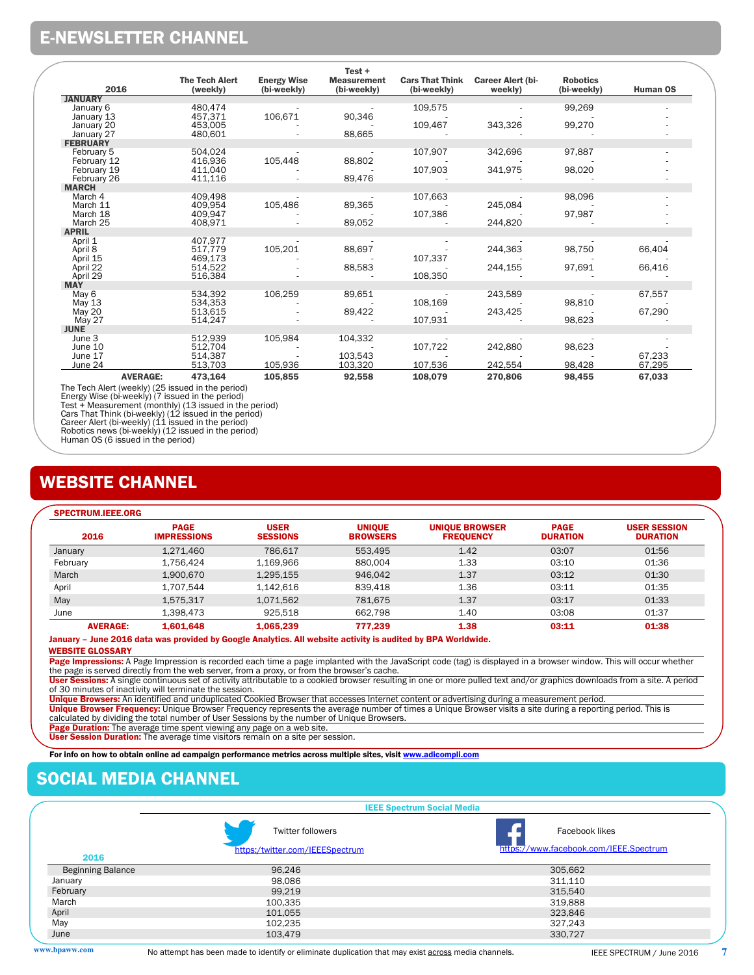### E-NEWSLETTER CHANNEL

| 2016                       | <b>The Tech Alert</b><br>(weekly) | <b>Energy Wise</b><br>(bi-weekly) | $Test +$<br><b>Measurement</b><br>(bi-weekly) | <b>Cars That Think</b><br>(bi-weekly) | <b>Career Alert (bi-</b><br>weekly) | <b>Robotics</b><br>(bi-weekly) | Human OS |
|----------------------------|-----------------------------------|-----------------------------------|-----------------------------------------------|---------------------------------------|-------------------------------------|--------------------------------|----------|
| <b>JANUARY</b>             |                                   |                                   |                                               |                                       |                                     |                                |          |
| January 6                  | 480.474                           |                                   |                                               | 109,575                               |                                     | 99,269                         |          |
| January 13                 | 457,371                           | 106,671                           | 90,346                                        |                                       |                                     |                                |          |
| January 20                 | 453,005                           |                                   |                                               | 109,467                               | 343,326                             | 99,270                         |          |
| January 27                 | 480,601                           |                                   | 88,665                                        |                                       |                                     |                                |          |
| <b>FEBRUARY</b>            |                                   |                                   |                                               |                                       |                                     |                                |          |
| February 5                 | 504.024                           |                                   |                                               | 107,907                               | 342,696                             | 97,887                         |          |
| February 12                | 416.936<br>411.040                | 105,448                           | 88,802                                        | 107,903                               | 341,975                             |                                |          |
| February 19<br>February 26 | 411,116                           |                                   | 89,476                                        |                                       |                                     | 98,020                         |          |
| <b>MARCH</b>               |                                   |                                   |                                               |                                       |                                     |                                |          |
| March 4                    | 409.498                           |                                   |                                               | 107,663                               |                                     | 98,096                         |          |
| March 11                   | 409.954                           | 105,486                           | 89,365                                        |                                       | 245,084                             |                                |          |
| March 18                   | 409.947                           |                                   |                                               | 107,386                               |                                     | 97,987                         |          |
| March 25                   | 408,971                           |                                   | 89,052                                        |                                       | 244.820                             |                                |          |
| <b>APRIL</b>               |                                   |                                   |                                               |                                       |                                     |                                |          |
| April 1                    | 407.977                           |                                   |                                               |                                       |                                     |                                |          |
| April 8                    | 517.779                           | 105,201                           | 88,697                                        |                                       | 244,363                             | 98,750                         | 66,404   |
| April 15                   | 469.173                           |                                   |                                               | 107,337                               |                                     |                                |          |
| April 22                   | 514.522                           |                                   | 88,583                                        |                                       | 244,155                             | 97,691                         | 66,416   |
| April 29                   | 516,384                           |                                   |                                               | 108,350                               |                                     |                                |          |
| <b>MAY</b>                 | 534.392                           | 106,259                           | 89,651                                        |                                       |                                     |                                |          |
| May 6<br>May 13            | 534,353                           |                                   |                                               | 108,169                               | 243,589                             | 98,810                         | 67,557   |
| May 20                     | 513,615                           |                                   | 89,422                                        |                                       | 243,425                             |                                | 67,290   |
| May 27                     | 514,247                           |                                   |                                               | 107,931                               |                                     | 98,623                         |          |
| <b>JUNE</b>                |                                   |                                   |                                               |                                       |                                     |                                |          |
| June 3                     | 512.939                           | 105,984                           | 104,332                                       |                                       |                                     |                                |          |
| June 10                    | 512.704                           |                                   |                                               | 107,722                               | 242,880                             | 98,623                         |          |
| June 17                    | 514,387                           |                                   | 103,543                                       |                                       |                                     |                                | 67,233   |
| June 24                    | 513,703                           | 105,936                           | 103,320                                       | 107,536                               | 242,554                             | 98,428                         | 67,295   |
| <b>AVERAGE:</b>            | 473,164                           | 105,855                           | 92,558                                        | 108,079                               | 270,806                             | 98,455                         | 67,033   |

The Tech Alert (weekly) (25 issued in the period)<br>Energy Wise (bi-weekly) (7 issued in the period)<br>Test + Measurement (monthly) (13 issued in the period)<br>Cars That Think (bi-weekly) (12 issued in the period)<br>Career Alert (

Human OS (6 issued in the period)

### WEBSITE CHANNEL

#### SPECTRUM.IEEE.ORG

| 2016            | <b>PAGE</b><br><b>IMPRESSIONS</b> | <b>USER</b><br><b>SESSIONS</b> | <b>UNIOUE</b><br><b>BROWSERS</b> | <b>UNIOUE BROWSER</b><br><b>FREOUENCY</b> | <b>PAGE</b><br><b>DURATION</b> | <b>USER SESSION</b><br><b>DURATION</b> |
|-----------------|-----------------------------------|--------------------------------|----------------------------------|-------------------------------------------|--------------------------------|----------------------------------------|
| January         | 1.271.460                         | 786.617                        | 553.495                          | 1.42                                      | 03:07                          | 01:56                                  |
| February        | 1.756.424                         | 1.169.966                      | 880.004                          | 1.33                                      | 03:10                          | 01:36                                  |
| March           | 1.900.670                         | 1.295.155                      | 946.042                          | 1.37                                      | 03:12                          | 01:30                                  |
| April           | 1.707.544                         | 1.142.616                      | 839.418                          | 1.36                                      | 03:11                          | 01:35                                  |
| May             | 1.575.317                         | 1,071,562                      | 781.675                          | 1.37                                      | 03:17                          | 01:33                                  |
| June            | 1,398,473                         | 925.518                        | 662.798                          | 1.40                                      | 03:08                          | 01:37                                  |
| <b>AVERAGE:</b> | 1.601.648                         | 1.065.239                      | 777.239                          | 1.38                                      | 03:11                          | 01:38                                  |

January – June 2016 data was provided by Google Analytics. All website activity is audited by BPA Worldwide.

### WEBSITE GLOSSARY

Page Impressions: A Page Impression is recorded each time a page implanted with the JavaScript code (tag) is displayed in a browser window. This will occur whether the page is served directly from the web server, from a proxy, or from the browser's cache.

User Sessions: A single continuous set of activity attributable to a cookied browser resulting in one or more pulled text and/or graphics downloads from a site. A period of 30 minutes of inactivity will terminate the session.

Unique Browsers: An identified and unduplicated Cookied Browser that accesses Internet content or advertising during a measurement period.<br>Unique Browser Frequency: Unique Browser Frequency represents the average number of

calculated by dividing the total number of User Sessions by the number of Unique Browsers.

Page Duration: The average time spent viewing any page on a web site

User Session Duration: The average time visitors remain on a site per session.

For info on how to obtain online ad campaign performance metrics across multiple sites, visit www.adicompli.com

### SOCIAL MEDIA CHANNEL

|                          | <b>IEEE Spectrum Social Media</b>                           |                                                          |  |  |  |  |  |
|--------------------------|-------------------------------------------------------------|----------------------------------------------------------|--|--|--|--|--|
|                          | <b>Twitter followers</b><br>https:/twitter.com/IEEESpectrum | Facebook likes<br>https://www.facebook.com/IEEE.Spectrum |  |  |  |  |  |
| 2016                     |                                                             |                                                          |  |  |  |  |  |
| <b>Beginning Balance</b> | 96,246                                                      | 305,662                                                  |  |  |  |  |  |
| January                  | 98,086                                                      | 311,110                                                  |  |  |  |  |  |
| February                 | 99,219                                                      | 315,540                                                  |  |  |  |  |  |
| March                    | 100,335                                                     | 319,888                                                  |  |  |  |  |  |
| April                    | 101,055                                                     | 323,846                                                  |  |  |  |  |  |
| May                      | 102,235                                                     | 327,243                                                  |  |  |  |  |  |
| June                     | 103,479                                                     | 330,727                                                  |  |  |  |  |  |